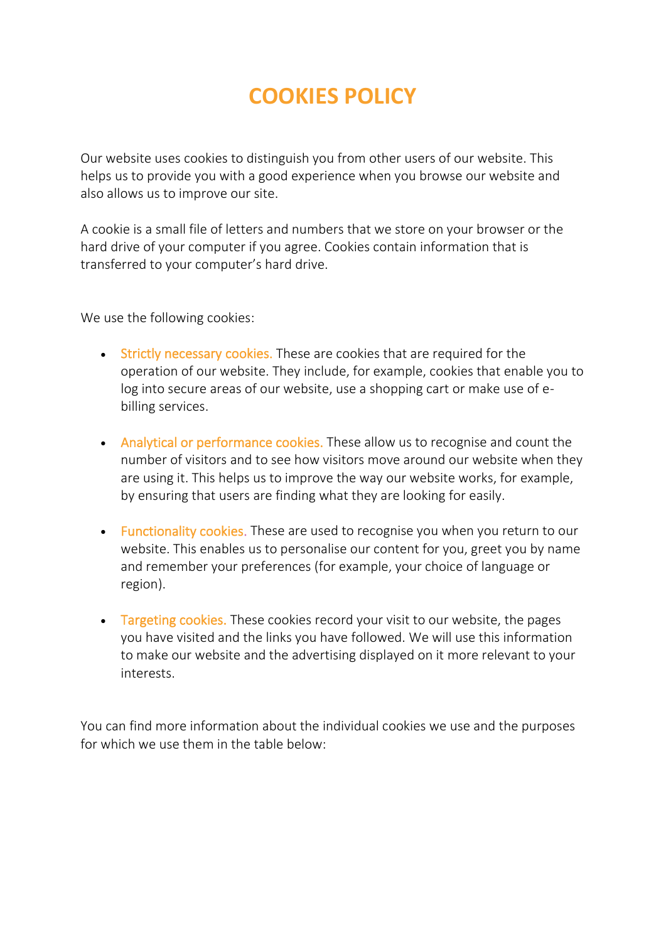## **COOKIES POLICY**

Our website uses cookies to distinguish you from other users of our website. This helps us to provide you with a good experience when you browse our website and also allows us to improve our site.

A cookie is a small file of letters and numbers that we store on your browser or the hard drive of your computer if you agree. Cookies contain information that is transferred to your computer's hard drive.

We use the following cookies:

- Strictly necessary cookies. These are cookies that are required for the operation of our website. They include, for example, cookies that enable you to log into secure areas of our website, use a shopping cart or make use of ebilling services.
- Analytical or performance cookies. These allow us to recognise and count the number of visitors and to see how visitors move around our website when they are using it. This helps us to improve the way our website works, for example, by ensuring that users are finding what they are looking for easily.
- Functionality cookies. These are used to recognise you when you return to our website. This enables us to personalise our content for you, greet you by name and remember your preferences (for example, your choice of language or region).
- Targeting cookies. These cookies record your visit to our website, the pages you have visited and the links you have followed. We will use this information to make our website and the advertising displayed on it more relevant to your interests.

You can find more information about the individual cookies we use and the purposes for which we use them in the table below: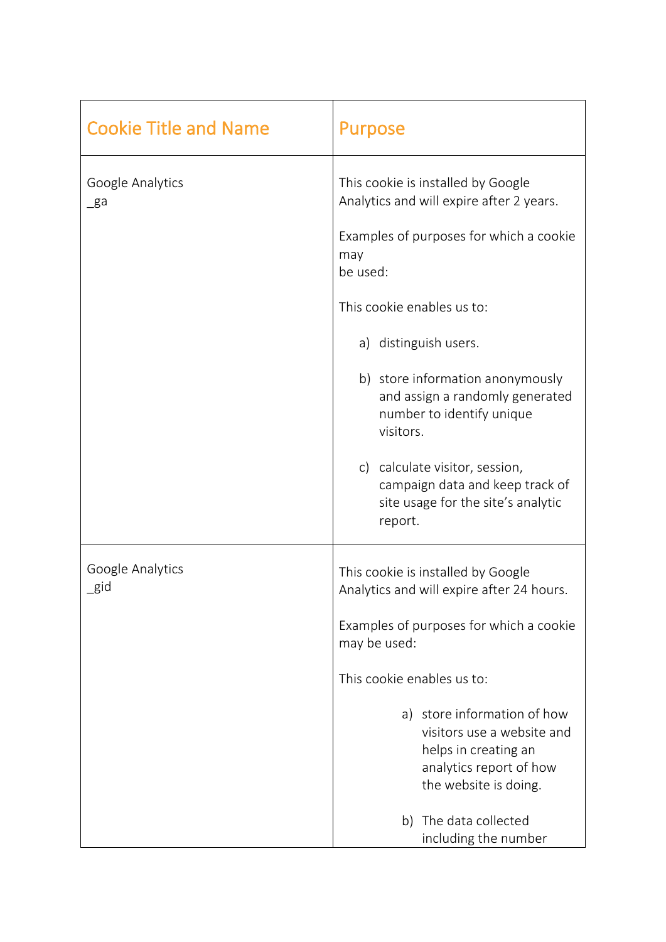| <b>Cookie Title and Name</b> | <b>Purpose</b>                                                                                                                                                                                                                                                                                                                                                                                                                             |
|------------------------------|--------------------------------------------------------------------------------------------------------------------------------------------------------------------------------------------------------------------------------------------------------------------------------------------------------------------------------------------------------------------------------------------------------------------------------------------|
| Google Analytics<br>_ga      | This cookie is installed by Google<br>Analytics and will expire after 2 years.<br>Examples of purposes for which a cookie<br>may<br>be used:<br>This cookie enables us to:<br>a) distinguish users.<br>b) store information anonymously<br>and assign a randomly generated<br>number to identify unique<br>visitors.<br>c) calculate visitor, session,<br>campaign data and keep track of<br>site usage for the site's analytic<br>report. |
| Google Analytics<br>$\_$ gid | This cookie is installed by Google<br>Analytics and will expire after 24 hours.<br>Examples of purposes for which a cookie<br>may be used:<br>This cookie enables us to:<br>a) store information of how<br>visitors use a website and<br>helps in creating an<br>analytics report of how<br>the website is doing.<br>b) The data collected<br>including the number                                                                         |